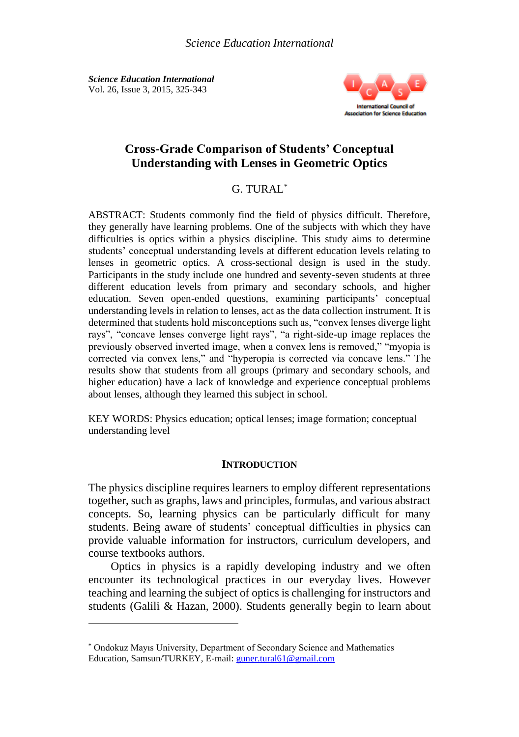*Science Education International* Vol. 26, Issue 3, 2015, 325-343



# **Cross-Grade Comparison of Students' Conceptual Understanding with Lenses in Geometric Optics**

## G. TURAL\*

ABSTRACT: Students commonly find the field of physics difficult. Therefore, they generally have learning problems. One of the subjects with which they have difficulties is optics within a physics discipline. This study aims to determine students' conceptual understanding levels at different education levels relating to lenses in geometric optics. A cross-sectional design is used in the study. Participants in the study include one hundred and seventy-seven students at three different education levels from primary and secondary schools, and higher education. Seven open-ended questions, examining participants' conceptual understanding levels in relation to lenses, act as the data collection instrument. It is determined that students hold misconceptions such as, "convex lenses diverge light rays", "concave lenses converge light rays", "a right-side-up image replaces the previously observed inverted image, when a convex lens is removed," "myopia is corrected via convex lens," and "hyperopia is corrected via concave lens." The results show that students from all groups (primary and secondary schools, and higher education) have a lack of knowledge and experience conceptual problems about lenses, although they learned this subject in school.

KEY WORDS: Physics education; optical lenses; image formation; conceptual understanding level

#### **INTRODUCTION**

The physics discipline requires learners to employ different representations together, such as graphs, laws and principles, formulas, and various abstract concepts. So, learning physics can be particularly difficult for many students. Being aware of students' conceptual difficulties in physics can provide valuable information for instructors, curriculum developers, and course textbooks authors.

Optics in physics is a rapidly developing industry and we often encounter its technological practices in our everyday lives. However teaching and learning the subject of optics is challenging for instructors and students (Galili & Hazan, 2000). Students generally begin to learn about

<sup>\*</sup> Ondokuz Mayıs University, Department of Secondary Science and Mathematics Education, Samsun/TURKEY, E-mail: [guner.tural61@gmail.com](mailto:guner.tural61@gmail.com)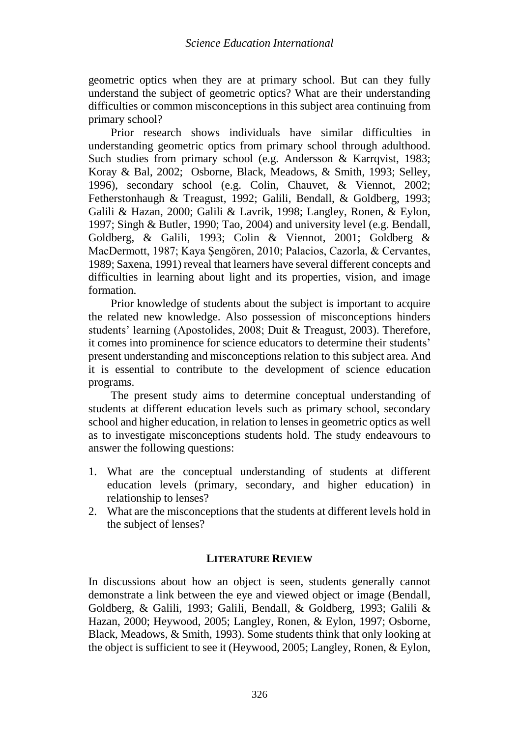geometric optics when they are at primary school. But can they fully understand the subject of geometric optics? What are their understanding difficulties or common misconceptions in this subject area continuing from primary school?

Prior research shows individuals have similar difficulties in understanding geometric optics from primary school through adulthood. Such studies from primary school (e.g. Andersson & Karrqvist, 1983; Koray & Bal, 2002; Osborne, Black, Meadows, & Smith, 1993; Selley, 1996), secondary school (e.g. Colin, Chauvet, & Viennot, 2002; Fetherstonhaugh & Treagust, 1992; Galili, Bendall, & Goldberg, 1993; Galili & Hazan, 2000; Galili & Lavrik, 1998; Langley, Ronen, & Eylon, 1997; Singh & Butler, 1990; Tao, 2004) and university level (e.g. Bendall, Goldberg, & Galili, 1993; Colin & Viennot, 2001; Goldberg & MacDermott, 1987; Kaya Şengören, 2010; Palacios, Cazorla, & Cervantes, 1989; Saxena, 1991) reveal that learners have several different concepts and difficulties in learning about light and its properties, vision, and image formation.

Prior knowledge of students about the subject is important to acquire the related new knowledge. Also possession of misconceptions hinders students' learning (Apostolides, 2008; Duit & Treagust, 2003). Therefore, it comes into prominence for science educators to determine their students' present understanding and misconceptions relation to this subject area. And it is essential to contribute to the development of science education programs.

The present study aims to determine conceptual understanding of students at different education levels such as primary school, secondary school and higher education, in relation to lenses in geometric optics as well as to investigate misconceptions students hold. The study endeavours to answer the following questions:

- 1. What are the conceptual understanding of students at different education levels (primary, secondary, and higher education) in relationship to lenses?
- 2. What are the misconceptions that the students at different levels hold in the subject of lenses?

### **LITERATURE REVIEW**

In discussions about how an object is seen, students generally cannot demonstrate a link between the eye and viewed object or image (Bendall, Goldberg, & Galili, 1993; Galili, Bendall, & Goldberg, 1993; Galili & Hazan, 2000; Heywood, 2005; Langley, Ronen, & Eylon, 1997; Osborne, Black, Meadows, & Smith, 1993). Some students think that only looking at the object is sufficient to see it (Heywood, 2005; Langley, Ronen, & Eylon,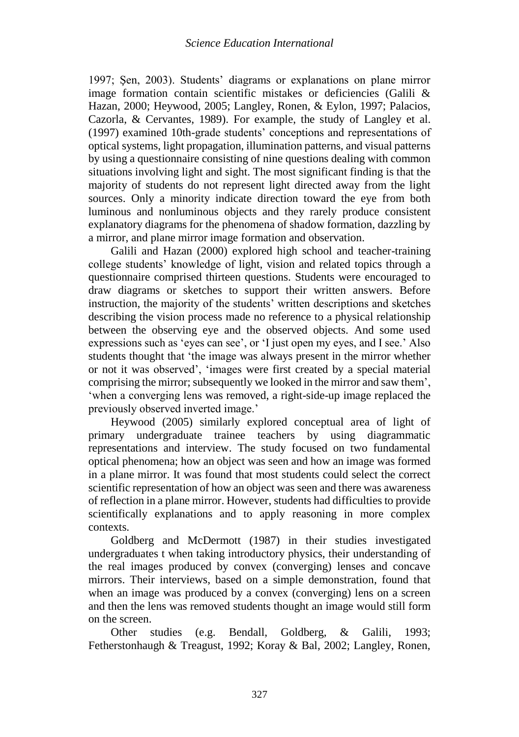1997; Şen, 2003). Students' diagrams or explanations on plane mirror image formation contain scientific mistakes or deficiencies (Galili & Hazan, 2000; Heywood, 2005; Langley, Ronen, & Eylon, 1997; Palacios, Cazorla, & Cervantes, 1989). For example, the study of Langley et al. (1997) examined 10th-grade students' conceptions and representations of optical systems, light propagation, illumination patterns, and visual patterns by using a questionnaire consisting of nine questions dealing with common situations involving light and sight. The most significant finding is that the majority of students do not represent light directed away from the light sources. Only a minority indicate direction toward the eye from both luminous and nonluminous objects and they rarely produce consistent explanatory diagrams for the phenomena of shadow formation, dazzling by a mirror, and plane mirror image formation and observation.

Galili and Hazan (2000) explored high school and teacher-training college students' knowledge of light, vision and related topics through a questionnaire comprised thirteen questions. Students were encouraged to draw diagrams or sketches to support their written answers. Before instruction, the majority of the students' written descriptions and sketches describing the vision process made no reference to a physical relationship between the observing eye and the observed objects. And some used expressions such as 'eyes can see', or 'I just open my eyes, and I see.' Also students thought that 'the image was always present in the mirror whether or not it was observed', 'images were first created by a special material comprising the mirror; subsequently we looked in the mirror and saw them', 'when a converging lens was removed, a right-side-up image replaced the previously observed inverted image.'

Heywood (2005) similarly explored conceptual area of light of primary undergraduate trainee teachers by using diagrammatic representations and interview. The study focused on two fundamental optical phenomena; how an object was seen and how an image was formed in a plane mirror. It was found that most students could select the correct scientific representation of how an object was seen and there was awareness of reflection in a plane mirror. However, students had difficulties to provide scientifically explanations and to apply reasoning in more complex contexts.

Goldberg and McDermott (1987) in their studies investigated undergraduates t when taking introductory physics, their understanding of the real images produced by convex (converging) lenses and concave mirrors. Their interviews, based on a simple demonstration, found that when an image was produced by a convex (converging) lens on a screen and then the lens was removed students thought an image would still form on the screen.

Other studies (e.g. Bendall, Goldberg, & Galili, 1993; Fetherstonhaugh & Treagust, 1992; Koray & Bal, 2002; Langley, Ronen,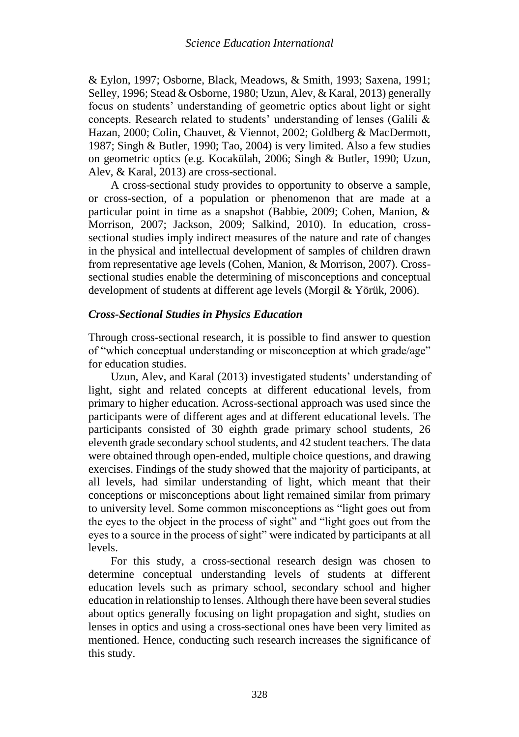& Eylon, 1997; Osborne, Black, Meadows, & Smith, 1993; Saxena, 1991; Selley, 1996; Stead & Osborne, 1980; Uzun, Alev, & Karal, 2013) generally focus on students' understanding of geometric optics about light or sight concepts. Research related to students' understanding of lenses (Galili & Hazan, 2000; Colin, Chauvet, & Viennot, 2002; Goldberg & MacDermott, 1987; Singh & Butler, 1990; Tao, 2004) is very limited. Also a few studies on geometric optics (e.g. Kocakülah, 2006; Singh & Butler, 1990; Uzun, Alev, & Karal, 2013) are cross-sectional.

A cross-sectional study provides to opportunity to observe a sample, or cross-section, of a population or phenomenon that are made at a particular point in time as a snapshot (Babbie, 2009; Cohen, Manion, & Morrison, 2007; Jackson, 2009; Salkind, 2010). In education, crosssectional studies imply indirect measures of the nature and rate of changes in the physical and intellectual development of samples of children drawn from representative age levels (Cohen, Manion, & Morrison, 2007). Crosssectional studies enable the determining of misconceptions and conceptual development of students at different age levels (Morgil & Yörük, 2006).

### *Cross-Sectional Studies in Physics Education*

Through cross-sectional research, it is possible to find answer to question of "which conceptual understanding or misconception at which grade/age" for education studies.

Uzun, Alev, and Karal (2013) investigated students' understanding of light, sight and related concepts at different educational levels, from primary to higher education. Across-sectional approach was used since the participants were of different ages and at different educational levels. The participants consisted of 30 eighth grade primary school students, 26 eleventh grade secondary school students, and 42 student teachers. The data were obtained through open-ended, multiple choice questions, and drawing exercises. Findings of the study showed that the majority of participants, at all levels, had similar understanding of light, which meant that their conceptions or misconceptions about light remained similar from primary to university level. Some common misconceptions as "light goes out from the eyes to the object in the process of sight" and "light goes out from the eyes to a source in the process of sight" were indicated by participants at all levels.

For this study, a cross-sectional research design was chosen to determine conceptual understanding levels of students at different education levels such as primary school, secondary school and higher education in relationship to lenses. Although there have been several studies about optics generally focusing on light propagation and sight, studies on lenses in optics and using a cross-sectional ones have been very limited as mentioned. Hence, conducting such research increases the significance of this study.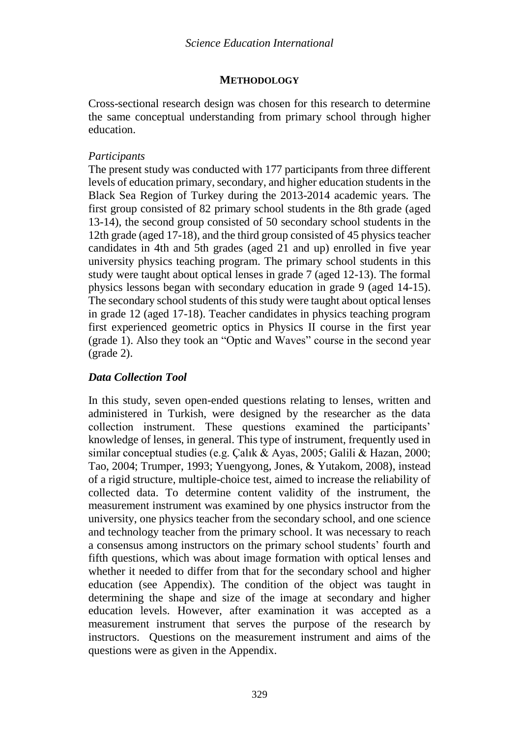### **METHODOLOGY**

Cross-sectional research design was chosen for this research to determine the same conceptual understanding from primary school through higher education.

### *Participants*

The present study was conducted with 177 participants from three different levels of education primary, secondary, and higher education students in the Black Sea Region of Turkey during the 2013-2014 academic years. The first group consisted of 82 primary school students in the 8th grade (aged 13-14), the second group consisted of 50 secondary school students in the 12th grade (aged 17-18), and the third group consisted of 45 physics teacher candidates in 4th and 5th grades (aged 21 and up) enrolled in five year university physics teaching program. The primary school students in this study were taught about optical lenses in grade 7 (aged 12-13). The formal physics lessons began with secondary education in grade 9 (aged 14-15). The secondary school students of this study were taught about optical lenses in grade 12 (aged 17-18). Teacher candidates in physics teaching program first experienced geometric optics in Physics II course in the first year (grade 1). Also they took an "Optic and Waves" course in the second year (grade 2).

## *Data Collection Tool*

In this study, seven open-ended questions relating to lenses, written and administered in Turkish, were designed by the researcher as the data collection instrument. These questions examined the participants' knowledge of lenses, in general. This type of instrument, frequently used in similar conceptual studies (e.g. Çalık & Ayas, 2005; Galili & Hazan, 2000; Tao, 2004; Trumper, 1993; Yuengyong, Jones, & Yutakom, 2008), instead of a rigid structure, multiple-choice test, aimed to increase the reliability of collected data. To determine content validity of the instrument, the measurement instrument was examined by one physics instructor from the university, one physics teacher from the secondary school, and one science and technology teacher from the primary school. It was necessary to reach a consensus among instructors on the primary school students' fourth and fifth questions, which was about image formation with optical lenses and whether it needed to differ from that for the secondary school and higher education (see Appendix). The condition of the object was taught in determining the shape and size of the image at secondary and higher education levels. However, after examination it was accepted as a measurement instrument that serves the purpose of the research by instructors. Questions on the measurement instrument and aims of the questions were as given in the Appendix.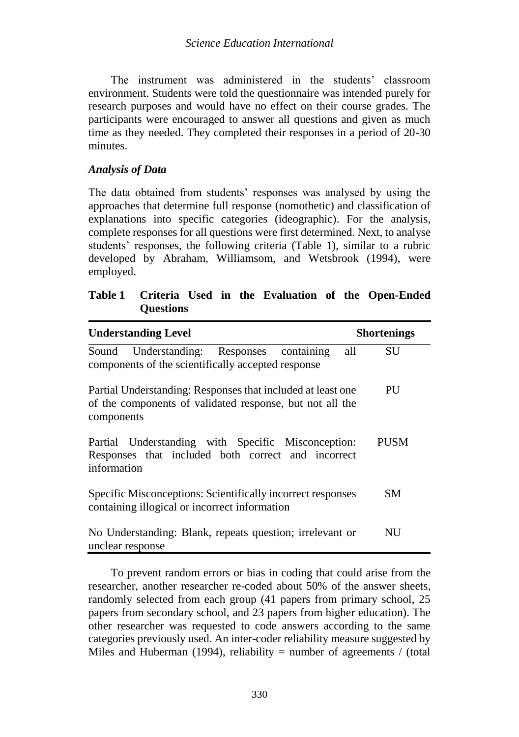The instrument was administered in the students' classroom environment. Students were told the questionnaire was intended purely for research purposes and would have no effect on their course grades. The participants were encouraged to answer all questions and given as much time as they needed. They completed their responses in a period of 20-30 minutes.

## *Analysis of Data*

The data obtained from students' responses was analysed by using the approaches that determine full response (nomothetic) and classification of explanations into specific categories (ideographic). For the analysis, complete responses for all questions were first determined. Next, to analyse students' responses, the following criteria (Table 1), similar to a rubric developed by Abraham, Williamsom, and Wetsbrook (1994), were employed.

|                  |  |  |  | Table 1 Criteria Used in the Evaluation of the Open-Ended |
|------------------|--|--|--|-----------------------------------------------------------|
| <b>Questions</b> |  |  |  |                                                           |

| <b>Understanding Level</b>                                                                                                            | <b>Shortenings</b> |
|---------------------------------------------------------------------------------------------------------------------------------------|--------------------|
| Understanding: Responses containing<br>Sound<br>components of the scientifically accepted response                                    | all<br>SU          |
| Partial Understanding: Responses that included at least one<br>of the components of validated response, but not all the<br>components | <b>PU</b>          |
| Partial Understanding with Specific Misconception:<br>Responses that included both correct and incorrect<br>information               | PUSM               |
| Specific Misconceptions: Scientifically incorrect responses<br>containing illogical or incorrect information                          | SM.                |
| No Understanding: Blank, repeats question; irrelevant or<br>unclear response                                                          | NU                 |

To prevent random errors or bias in coding that could arise from the researcher, another researcher re-coded about 50% of the answer sheets, randomly selected from each group (41 papers from primary school, 25 papers from secondary school, and 23 papers from higher education). The other researcher was requested to code answers according to the same categories previously used. An inter-coder reliability measure suggested by Miles and Huberman (1994), reliability = number of agreements / (total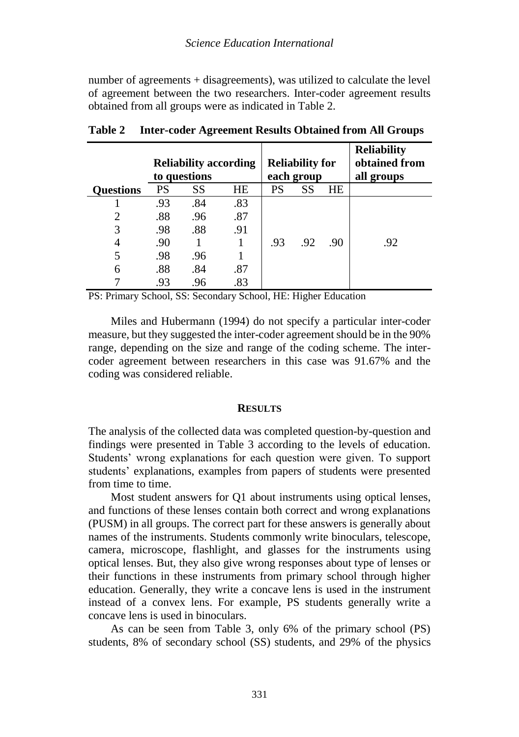number of agreements + disagreements), was utilized to calculate the level of agreement between the two researchers. Inter-coder agreement results obtained from all groups were as indicated in Table 2.

|                  |     | <b>Reliability according</b><br>to questions | <b>Reliability for</b><br>each group |     |     | <b>Reliability</b><br>obtained from<br>all groups |     |
|------------------|-----|----------------------------------------------|--------------------------------------|-----|-----|---------------------------------------------------|-----|
| <b>Questions</b> | PS  | SS                                           | HE                                   | PS  | SS  | HE                                                |     |
|                  | .93 | .84                                          | .83                                  |     |     |                                                   |     |
| 2                | .88 | .96                                          | .87                                  |     |     |                                                   |     |
| 3                | .98 | .88                                          | .91                                  |     |     |                                                   |     |
| 4                | .90 |                                              | 1                                    | .93 | .92 | .90                                               | .92 |
| 5                | .98 | .96                                          |                                      |     |     |                                                   |     |
| 6                | .88 | .84                                          | .87                                  |     |     |                                                   |     |
|                  | .93 | .96                                          | .83                                  |     |     |                                                   |     |

**Table 2 Inter-coder Agreement Results Obtained from All Groups**

PS: Primary School, SS: Secondary School, HE: Higher Education

Miles and Hubermann (1994) do not specify a particular inter-coder measure, but they suggested the inter-coder agreement should be in the 90% range, depending on the size and range of the coding scheme. The intercoder agreement between researchers in this case was 91.67% and the coding was considered reliable.

#### **RESULTS**

The analysis of the collected data was completed question-by-question and findings were presented in Table 3 according to the levels of education. Students' wrong explanations for each question were given. To support students' explanations, examples from papers of students were presented from time to time.

Most student answers for Q1 about instruments using optical lenses, and functions of these lenses contain both correct and wrong explanations (PUSM) in all groups. The correct part for these answers is generally about names of the instruments. Students commonly write binoculars, telescope, camera, microscope, flashlight, and glasses for the instruments using optical lenses. But, they also give wrong responses about type of lenses or their functions in these instruments from primary school through higher education. Generally, they write a concave lens is used in the instrument instead of a convex lens. For example, PS students generally write a concave lens is used in binoculars.

As can be seen from Table 3, only 6% of the primary school (PS) students, 8% of secondary school (SS) students, and 29% of the physics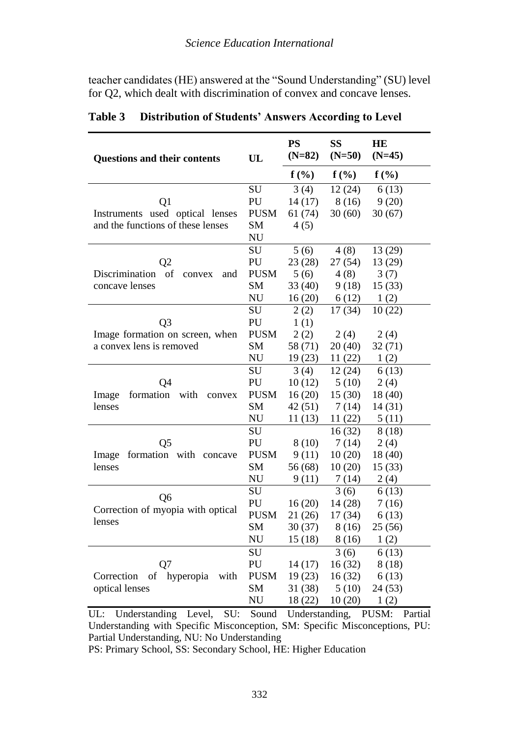teacher candidates (HE) answered at the "Sound Understanding" (SU) level for Q2, which dealt with discrimination of convex and concave lenses.

| <b>Questions and their contents</b>   | UL          | <b>PS</b><br>$(N=82)$ | <b>SS</b><br>$(N=50)$ | <b>HE</b><br>$(N=45)$ |
|---------------------------------------|-------------|-----------------------|-----------------------|-----------------------|
|                                       |             | $f(\%)$               | $f(\%)$               | $f(\%)$               |
|                                       | SU          | 3(4)                  | 12(24)                | 6(13)                 |
| Q1                                    | PU          | 14(17)                | 8(16)                 | 9(20)                 |
| Instruments used optical lenses       | <b>PUSM</b> | 61 (74)               | 30(60)                | 30(67)                |
| and the functions of these lenses     | <b>SM</b>   | 4(5)                  |                       |                       |
|                                       | NU          |                       |                       |                       |
|                                       | SU          | 5(6)                  | 4(8)                  | 13 (29)               |
| O2                                    | PU          | 23(28)                | 27 (54)               | 13 (29)               |
| of<br>Discrimination<br>and<br>convex | <b>PUSM</b> | 5(6)                  | 4(8)                  | 3(7)                  |
| concave lenses                        | <b>SM</b>   | 33(40)                | 9(18)                 | 15(33)                |
|                                       | NU          | 16(20)                | 6(12)                 | 1(2)                  |
|                                       | SU          | 2(2)                  | 17(34)                | 10(22)                |
| Q <sub>3</sub>                        | PU          | 1(1)                  |                       |                       |
| Image formation on screen, when       | <b>PUSM</b> | 2(2)                  | 2(4)                  | 2(4)                  |
| a convex lens is removed              | <b>SM</b>   | 58 (71)               | 20(40)                | 32(71)                |
|                                       | NU          | 19(23)                | 11(22)                | 1(2)                  |
|                                       | SU          | 3(4)                  | 12(24)                | 6(13)                 |
| Q4                                    | PU          | 10(12)                | 5(10)                 | 2(4)                  |
| formation<br>with<br>Image<br>convex  | <b>PUSM</b> | 16(20)                | 15(30)                | 18 (40)               |
| lenses                                | <b>SM</b>   | 42(51)                | 7(14)                 | 14 (31)               |
|                                       | <b>NU</b>   | 11 (13)               | 11(22)                | 5(11)                 |
|                                       | SU          |                       | 16(32)                | 8(18)                 |
| Q <sub>5</sub>                        | PU          | 8(10)                 | 7(14)                 | 2(4)                  |
| formation with concave<br>Image       | <b>PUSM</b> | 9(11)                 | 10(20)                | 18 (40)               |
| lenses                                | <b>SM</b>   | 56 (68)               | 10(20)                | 15(33)                |
|                                       | NU          | 9(11)                 | 7(14)                 | 2(4)                  |
| O <sub>6</sub>                        | SU          |                       | 3(6)                  | 6(13)                 |
| Correction of myopia with optical     | PU          | 16(20)                | 14 (28)               | 7(16)                 |
| lenses                                | <b>PUSM</b> | 21(26)                | 17 (34)               | 6(13)                 |
|                                       | <b>SM</b>   | 30(37)                | 8(16)                 | 25(56)                |
|                                       | <b>NU</b>   | 15(18)                | 8(16)                 | 1(2)                  |
|                                       | <b>SU</b>   |                       | 3(6)                  | 6(13)                 |
| Q7                                    | PU          | 14 (17)               | 16(32)                | 8(18)                 |
| hyperopia<br>Correction<br>of<br>with | <b>PUSM</b> | 19(23)                | 16(32)                | 6(13)                 |
| optical lenses                        | <b>SM</b>   | 31 (38)               | 5(10)                 | 24(53)                |
|                                       | NU          | 18 (22)               | 10(20)                | 1(2)                  |

**Table 3 Distribution of Students' Answers According to Level**

UL: Understanding Level, SU: Sound Understanding, PUSM: Partial Understanding with Specific Misconception, SM: Specific Misconceptions, PU: Partial Understanding, NU: No Understanding

PS: Primary School, SS: Secondary School, HE: Higher Education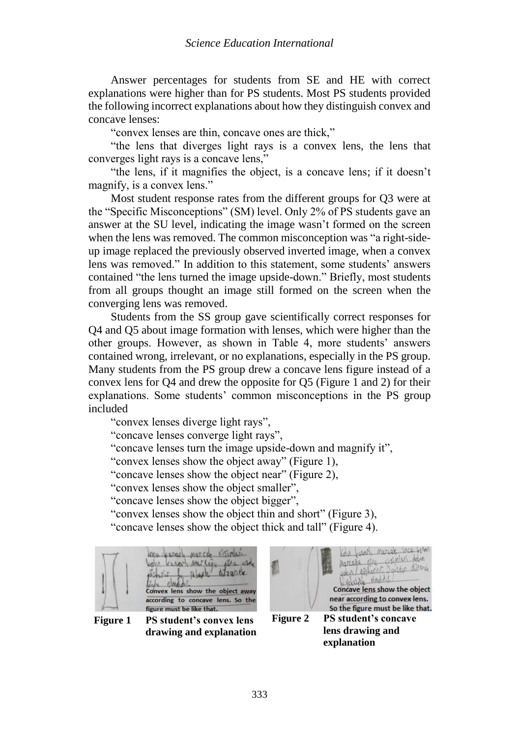Answer percentages for students from SE and HE with correct explanations were higher than for PS students. Most PS students provided the following incorrect explanations about how they distinguish convex and concave lenses:

"convex lenses are thin, concave ones are thick,"

"the lens that diverges light rays is a convex lens, the lens that converges light rays is a concave lens,"

"the lens, if it magnifies the object, is a concave lens; if it doesn't magnify, is a convex lens."

Most student response rates from the different groups for Q3 were at the "Specific Misconceptions" (SM) level. Only 2% of PS students gave an answer at the SU level, indicating the image wasn't formed on the screen when the lens was removed. The common misconception was "a right-sideup image replaced the previously observed inverted image, when a convex lens was removed." In addition to this statement, some students' answers contained "the lens turned the image upside-down." Briefly, most students from all groups thought an image still formed on the screen when the converging lens was removed.

Students from the SS group gave scientifically correct responses for Q4 and Q5 about image formation with lenses, which were higher than the other groups. However, as shown in Table 4, more students' answers contained wrong, irrelevant, or no explanations, especially in the PS group. Many students from the PS group drew a concave lens figure instead of a convex lens for Q4 and drew the opposite for Q5 (Figure 1 and 2) for their explanations. Some students' common misconceptions in the PS group included

"convex lenses diverge light rays",

"concave lenses converge light rays",

"concave lenses turn the image upside-down and magnify it",

"convex lenses show the object away" (Figure 1),

"concave lenses show the object near" (Figure 2),

"convex lenses show the object smaller",

"concave lenses show the object bigger",

"convex lenses show the object thin and short" (Figure 3),

"concave lenses show the object thick and tall" (Figure 4).



**Figure 1 PS student's convex lens drawing and explanation**

Kois work mercel ince before Marcage over using dame sekside dindiki Concave lens show the object near according to convex lens. So the figure must be like that. **Figure 2 PS student's concave lens drawing and** 

**explanation**

333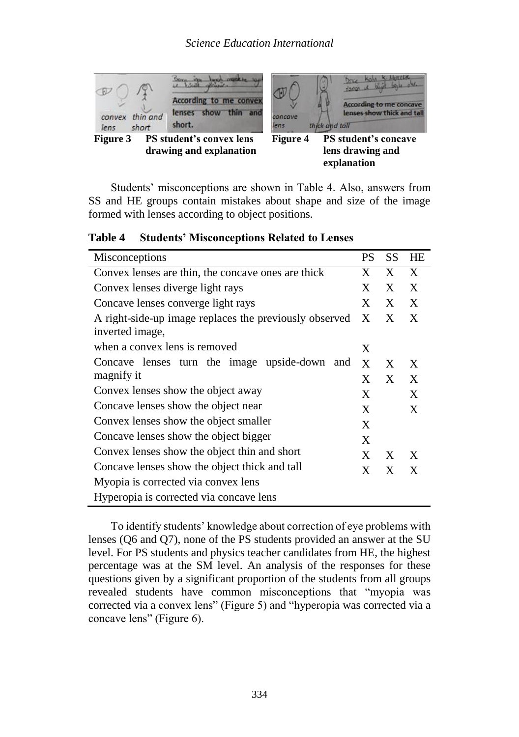

**drawing and explanation** 

**Figure 4 PS student's concave lens drawing and explanation** 

Students' misconceptions are shown in Table 4. Also, answers from SS and HE groups contain mistakes about shape and size of the image formed with lenses according to object positions.

| Misconceptions                                                            | PS | SS | <b>HE</b> |
|---------------------------------------------------------------------------|----|----|-----------|
| Convex lenses are thin, the concave ones are thick                        | X  | X  | X         |
| Convex lenses diverge light rays                                          | X  | X  | X         |
| Concave lenses converge light rays                                        | X  | X  | X         |
| A right-side-up image replaces the previously observed<br>inverted image, | X  | X  | X         |
| when a convex lens is removed                                             | X  |    |           |
| Concave lenses turn the image upside-down and                             | X  | X  | X         |
| magnify it                                                                | X  | X  | X         |
| Convex lenses show the object away                                        | X  |    | X         |
| Concave lenses show the object near                                       | X  |    | X         |
| Convex lenses show the object smaller                                     | X  |    |           |
| Concave lenses show the object bigger                                     | X  |    |           |
| Convex lenses show the object thin and short                              | X  | X  | X         |
| Concave lenses show the object thick and tall                             | X  | X  | X         |
| Myopia is corrected via convex lens                                       |    |    |           |
| Hyperopia is corrected via concave lens                                   |    |    |           |

**Table 4 Students' Misconceptions Related to Lenses**

To identify students' knowledge about correction of eye problems with lenses (Q6 and Q7), none of the PS students provided an answer at the SU level. For PS students and physics teacher candidates from HE, the highest percentage was at the SM level. An analysis of the responses for these questions given by a significant proportion of the students from all groups revealed students have common misconceptions that "myopia was corrected via a convex lens" (Figure 5) and "hyperopia was corrected via a concave lens" (Figure 6).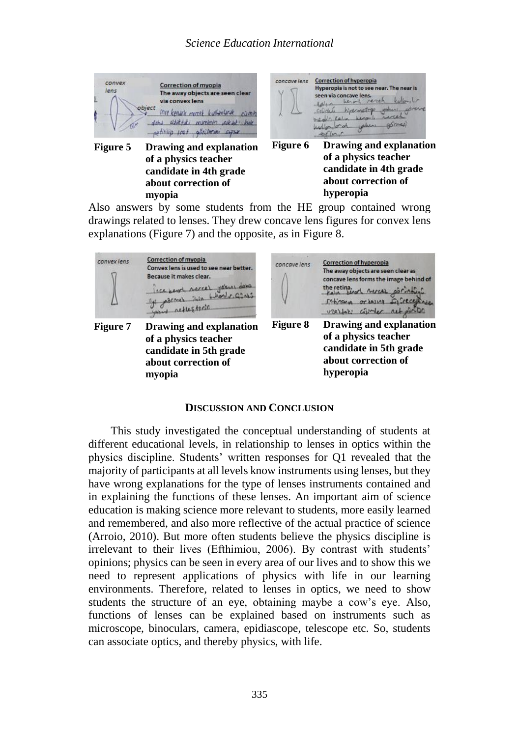

**myopia** Also answers by some students from the HE group contained wrong drawings related to lenses. They drew concave lens figures for convex lens explanations (Figure 7) and the opposite, as in Figure 8.

**hyperopia**



#### **DISCUSSION AND CONCLUSION**

This study investigated the conceptual understanding of students at different educational levels, in relationship to lenses in optics within the physics discipline. Students' written responses for Q1 revealed that the majority of participants at all levels know instruments using lenses, but they have wrong explanations for the type of lenses instruments contained and in explaining the functions of these lenses. An important aim of science education is making science more relevant to students, more easily learned and remembered, and also more reflective of the actual practice of science (Arroio, 2010). But more often students believe the physics discipline is irrelevant to their lives (Efthimiou, 2006). By contrast with students' opinions; physics can be seen in every area of our lives and to show this we need to represent applications of physics with life in our learning environments. Therefore, related to lenses in optics, we need to show students the structure of an eye, obtaining maybe a cow's eye. Also, functions of lenses can be explained based on instruments such as microscope, binoculars, camera, epidiascope, telescope etc. So, students can associate optics, and thereby physics, with life.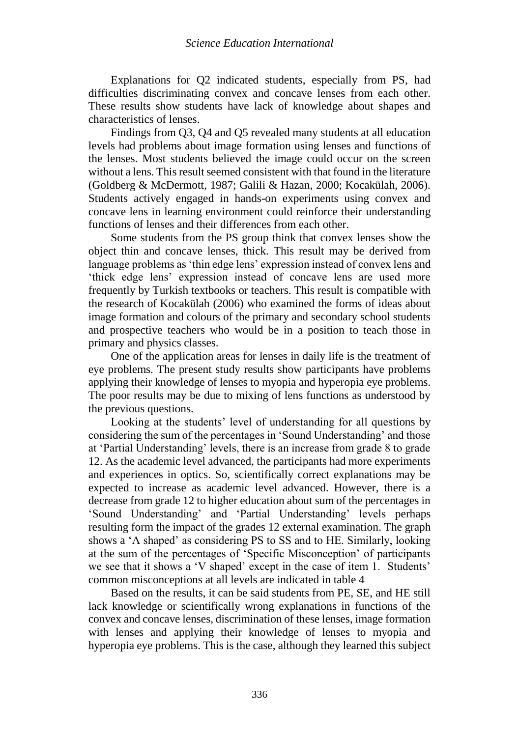Explanations for Q2 indicated students, especially from PS, had difficulties discriminating convex and concave lenses from each other. These results show students have lack of knowledge about shapes and characteristics of lenses.

Findings from Q3, Q4 and Q5 revealed many students at all education levels had problems about image formation using lenses and functions of the lenses. Most students believed the image could occur on the screen without a lens. This result seemed consistent with that found in the literature (Goldberg & McDermott, 1987; Galili & Hazan, 2000; Kocakülah, 2006). Students actively engaged in hands-on experiments using convex and concave lens in learning environment could reinforce their understanding functions of lenses and their differences from each other.

Some students from the PS group think that convex lenses show the object thin and concave lenses, thick. This result may be derived from language problems as 'thin edge lens' expression instead of convex lens and 'thick edge lens' expression instead of concave lens are used more frequently by Turkish textbooks or teachers. This result is compatible with the research of Kocakülah (2006) who examined the forms of ideas about image formation and colours of the primary and secondary school students and prospective teachers who would be in a position to teach those in primary and physics classes.

One of the application areas for lenses in daily life is the treatment of eye problems. The present study results show participants have problems applying their knowledge of lenses to myopia and hyperopia eye problems. The poor results may be due to mixing of lens functions as understood by the previous questions.

Looking at the students' level of understanding for all questions by considering the sum of the percentages in 'Sound Understanding' and those at 'Partial Understanding' levels, there is an increase from grade 8 to grade 12. As the academic level advanced, the participants had more experiments and experiences in optics. So, scientifically correct explanations may be expected to increase as academic level advanced. However, there is a decrease from grade 12 to higher education about sum of the percentages in 'Sound Understanding' and 'Partial Understanding' levels perhaps resulting form the impact of the grades 12 external examination. The graph shows a 'Λ shaped' as considering PS to SS and to HE. Similarly, looking at the sum of the percentages of 'Specific Misconception' of participants we see that it shows a 'V shaped' except in the case of item 1. Students' common misconceptions at all levels are indicated in table 4

Based on the results, it can be said students from PE, SE, and HE still lack knowledge or scientifically wrong explanations in functions of the convex and concave lenses, discrimination of these lenses, image formation with lenses and applying their knowledge of lenses to myopia and hyperopia eye problems. This is the case, although they learned this subject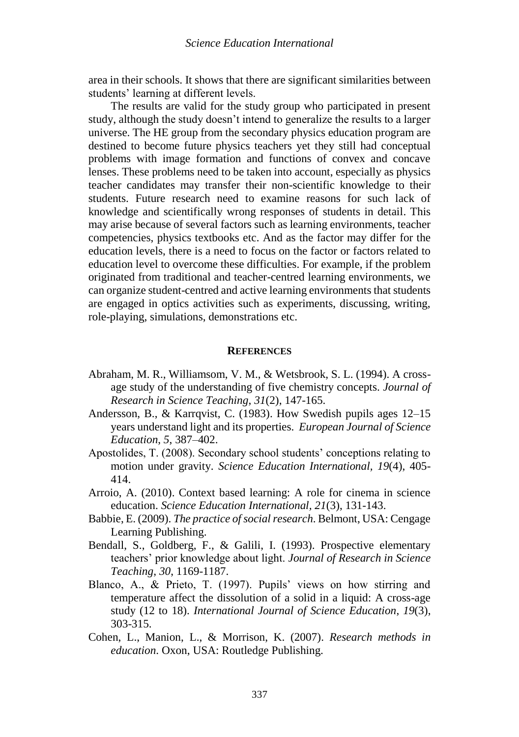area in their schools. It shows that there are significant similarities between students' learning at different levels.

The results are valid for the study group who participated in present study, although the study doesn't intend to generalize the results to a larger universe. The HE group from the secondary physics education program are destined to become future physics teachers yet they still had conceptual problems with image formation and functions of convex and concave lenses. These problems need to be taken into account, especially as physics teacher candidates may transfer their non-scientific knowledge to their students. Future research need to examine reasons for such lack of knowledge and scientifically wrong responses of students in detail. This may arise because of several factors such as learning environments, teacher competencies, physics textbooks etc. And as the factor may differ for the education levels, there is a need to focus on the factor or factors related to education level to overcome these difficulties. For example, if the problem originated from traditional and teacher-centred learning environments, we can organize student-centred and active learning environments that students are engaged in optics activities such as experiments, discussing, writing, role-playing, simulations, demonstrations etc.

#### **REFERENCES**

- Abraham, M. R., Williamsom, V. M., & Wetsbrook, S. L. (1994). A crossage study of the understanding of five chemistry concepts. *Journal of Research in Science Teaching*, *31*(2), 147-165.
- Andersson, B., & Karrqvist, C. (1983). How Swedish pupils ages 12–15 years understand light and its properties. *European Journal of Science Education*, *5*, 387–402.
- Apostolides, T. (2008). Secondary school students' conceptions relating to motion under gravity. *Science Education International, 19*(4), 405- 414.
- Arroio, A. (2010). Context based learning: A role for cinema in science education. *Science Education International, 21*(3), 131-143.
- Babbie, E. (2009). *The practice of social research*. Belmont, USA: Cengage Learning Publishing.
- Bendall, S., Goldberg, F., & Galili, I. (1993). Prospective elementary teachers' prior knowledge about light. *Journal of Research in Science Teaching*, *30*, 1169-1187.
- Blanco, A., & Prieto, T. (1997). Pupils' views on how stirring and temperature affect the dissolution of a solid in a liquid: A cross-age study (12 to 18). *International Journal of Science Education*, *19*(3), 303-315.
- Cohen, L., Manion, L., & Morrison, K. (2007). *Research methods in education*. Oxon, USA: Routledge Publishing.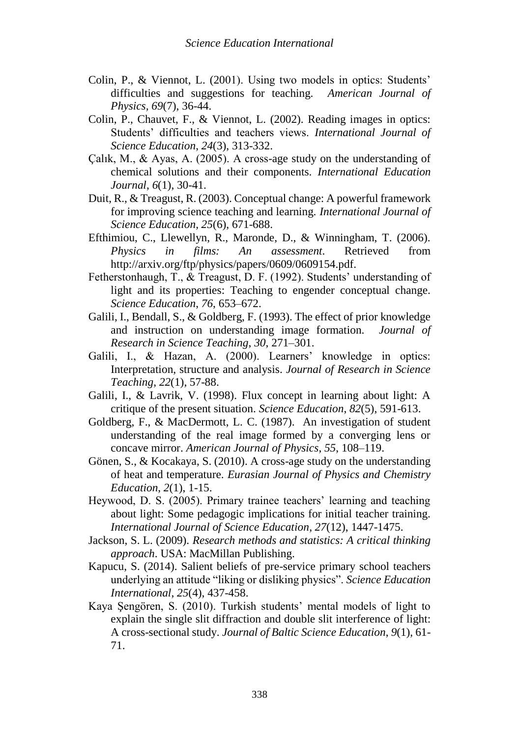- Colin, P., & Viennot, L. (2001). Using two models in optics: Students' difficulties and suggestions for teaching. *American Journal of Physics, 69*(7), 36-44.
- Colin, P., Chauvet, F., & Viennot, L. (2002). Reading images in optics: Students' difficulties and teachers views. *International Journal of Science Education*, *24*(3), 313-332.
- Çalık, M., & Ayas, A. (2005). A cross-age study on the understanding of chemical solutions and their components. *International Education Journal*, *6*(1), 30-41.
- Duit, R., & Treagust, R. (2003). Conceptual change: A powerful framework for improving science teaching and learning. *International Journal of Science Education, 25*(6), 671-688.
- Efthimiou, C., Llewellyn, R., Maronde, D., & Winningham, T. (2006). *Physics in films: An assessment*. Retrieved from http://arxiv.org/ftp/physics/papers/0609/0609154.pdf.
- Fetherstonhaugh, T., & Treagust, D. F. (1992). Students' understanding of light and its properties: Teaching to engender conceptual change. *Science Education*, *76*, 653–672.
- Galili, I., Bendall, S., & Goldberg, F. (1993). The effect of prior knowledge and instruction on understanding image formation. *Journal of Research in Science Teaching*, *30*, 271–301.
- Galili, I., & Hazan, A. (2000). Learners' knowledge in optics: Interpretation, structure and analysis. *Journal of Research in Science Teaching*, *22*(1), 57-88.
- Galili, I., & Lavrik, V. (1998). Flux concept in learning about light: A critique of the present situation. *Science Education*, *82*(5), 591-613.
- Goldberg, F., & MacDermott, L. C. (1987). An investigation of student understanding of the real image formed by a converging lens or concave mirror. *American Journal of Physics*, *55*, 108–119.
- Gönen, S., & Kocakaya, S. (2010). A cross-age study on the understanding of heat and temperature. *Eurasian Journal of Physics and Chemistry Education*, *2*(1), 1-15.
- Heywood, D. S. (2005). Primary trainee teachers' learning and teaching about light: Some pedagogic implications for initial teacher training. *International Journal of Science Education*, *27*(12), 1447-1475.
- Jackson, S. L. (2009). *Research methods and statistics: A critical thinking approach*. USA: MacMillan Publishing.
- Kapucu, S. (2014). Salient beliefs of pre-service primary school teachers underlying an attitude "liking or disliking physics". *Science Education International*, *25*(4), 437-458.
- Kaya Şengören, S. (2010). Turkish students' mental models of light to explain the single slit diffraction and double slit interference of light: A cross-sectional study. *Journal of Baltic Science Education*, *9*(1), 61- 71.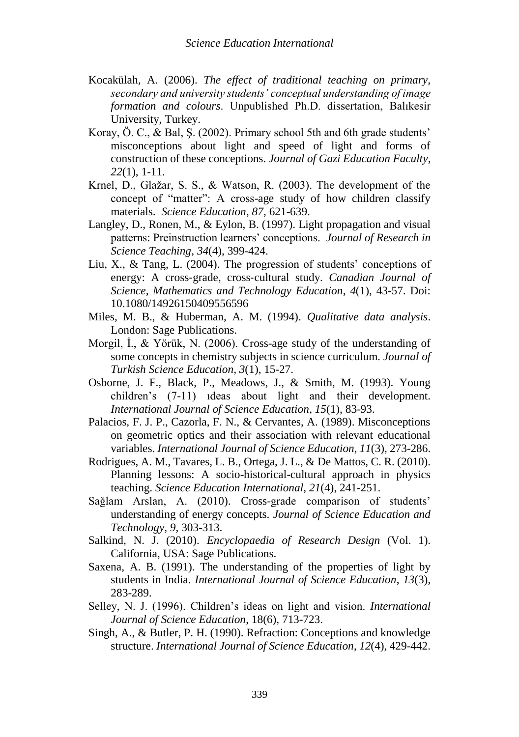- Kocakülah, A. (2006). *The effect of traditional teaching on primary, secondary and university students' conceptual understanding of image formation and colours*. Unpublished Ph.D. dissertation, Balıkesir University, Turkey.
- Koray, Ö. C., & Bal, Ş. (2002). Primary school 5th and 6th grade students' misconceptions about light and speed of light and forms of construction of these conceptions. *Journal of Gazi Education Faculty*, *22*(1), 1-11.
- Krnel, D., Glažar, S. S., & Watson, R. (2003). The development of the concept of "matter": A cross-age study of how children classify materials. *Science Education*, *87*, 621-639.
- Langley, D., Ronen, M., & Eylon, B. (1997). Light propagation and visual patterns: Preinstruction learners' conceptions. *Journal of Research in Science Teaching*, *34*(4), 399-424.
- Liu, X., & Tang, L. (2004). The progression of students' conceptions of energy: A cross‐grade, cross‐cultural study. *Canadian Journal of Science, Mathematics and Technology Education*, *4*(1), 43-57. Doi: 10.1080/14926150409556596
- Miles, M. B., & Huberman, A. M. (1994). *Qualitative data analysis*. London: Sage Publications.
- Morgil, İ., & Yörük, N. (2006). Cross-age study of the understanding of some concepts in chemistry subjects in science curriculum. *Journal of Turkish Science Education*, *3*(1), 15-27.
- Osborne, J. F., Black, P., Meadows, J., & Smith, M. (1993). Young children's (7-11) ıdeas about light and their development. *International Journal of Science Education*, *15*(1), 83-93.
- Palacios, F. J. P., Cazorla, F. N., & Cervantes, A. (1989). Misconceptions on geometric optics and their association with relevant educational variables. *International Journal of Science Education*, *11*(3), 273-286.
- Rodrigues, A. M., Tavares, L. B., Ortega, J. L., & De Mattos, C. R. (2010). Planning lessons: A socio-historical-cultural approach in physics teaching. *Science Education International*, *21*(4), 241-251.
- Sağlam Arslan, A. (2010). Cross-grade comparison of students' understanding of energy concepts. *Journal of Science Education and Technology*, *9*, 303-313.
- Salkind, N. J. (2010). *Encyclopaedia of Research Design* (Vol. 1). California, USA: Sage Publications.
- Saxena, A. B. (1991). The understanding of the properties of light by students in India. *International Journal of Science Education*, *13*(3), 283-289.
- Selley, N. J. (1996). Children's ideas on light and vision. *International Journal of Science Education*, 18(6), 713-723.
- Singh, A., & Butler, P. H. (1990). Refraction: Conceptions and knowledge structure. *International Journal of Science Education*, *12*(4), 429-442.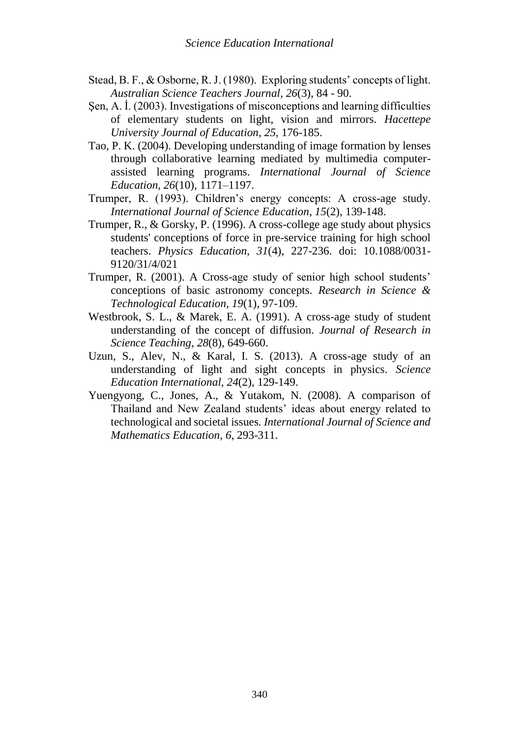- Stead, B. F., & Osborne, R. J. (1980). Exploring students' concepts of light. *Australian Science Teachers Journal*, *26*(3), 84 - 90.
- Sen, A. I. (2003). Investigations of misconceptions and learning difficulties of elementary students on light, vision and mirrors. *Hacettepe University Journal of Education*, *25*, 176-185.
- Tao, P. K. (2004). Developing understanding of image formation by lenses through collaborative learning mediated by multimedia computerassisted learning programs. *International Journal of Science Education*, *26*(10), 1171–1197.
- Trumper, R. (1993). Children's energy concepts: A cross-age study. *International Journal of Science Education*, *15*(2), 139-148.
- Trumper, R., & Gorsky, P. (1996). A cross-college age study about physics students' conceptions of force in pre-service training for high school teachers. *Physics Education*, *31*(4), 227-236. doi: 10.1088/0031- 9120/31/4/021
- Trumper, R. (2001). A Cross-age study of senior high school students' conceptions of basic astronomy concepts. *Research in Science & Technological Education, 19*(1), 97-109.
- Westbrook, S. L., & Marek, E. A. (1991). A cross-age study of student understanding of the concept of diffusion. *Journal of Research in Science Teaching*, *28*(8), 649-660.
- Uzun, S., Alev, N., & Karal, I. S. (2013). A cross-age study of an understanding of light and sight concepts in physics. *Science Education International, 24*(2), 129-149.
- Yuengyong, C., Jones, A., & Yutakom, N. (2008). A comparison of Thailand and New Zealand students' ideas about energy related to technological and societal issues. *International Journal of Science and Mathematics Education*, *6*, 293-311.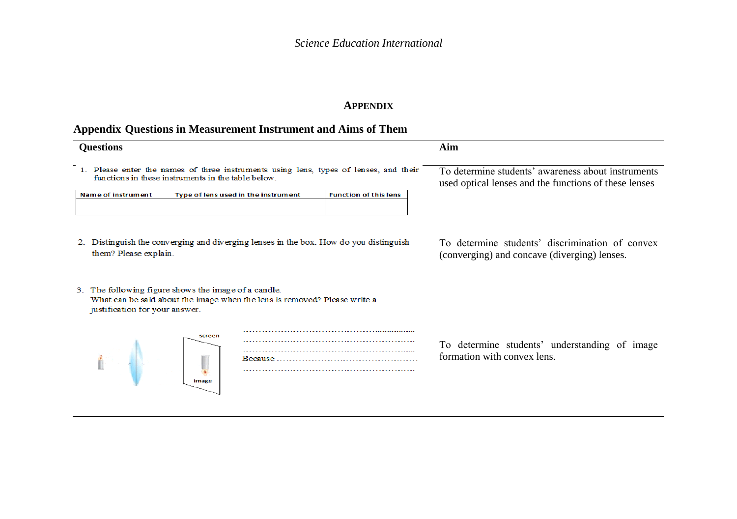## **APPENDIX**

# **Appendix Questions in Measurement Instrument and Aims of Them**

| <b>Questions</b>                                                                                                                                                    | Aim                                                                                                         |
|---------------------------------------------------------------------------------------------------------------------------------------------------------------------|-------------------------------------------------------------------------------------------------------------|
| 1. Please enter the names of three instruments using lens, types of lenses, and their<br>functions in these instruments in the table below                          | To determine students' awareness about instruments<br>used optical lenses and the functions of these lenses |
| <b>Name of instrument</b><br><b>Function of this lens</b><br>Type of lens used in the instrument                                                                    |                                                                                                             |
| Distinguish the converging and diverging lenses in the box. How do you distinguish<br>them? Please explain.                                                         | To determine students' discrimination of convex<br>(converging) and concave (diverging) lenses.             |
| 3. The following figure shows the image of a candle.<br>What can be said about the image when the lens is removed? Please write a<br>justification for your answer. |                                                                                                             |
| screen<br>image                                                                                                                                                     | To determine students' understanding of image<br>formation with convex lens.                                |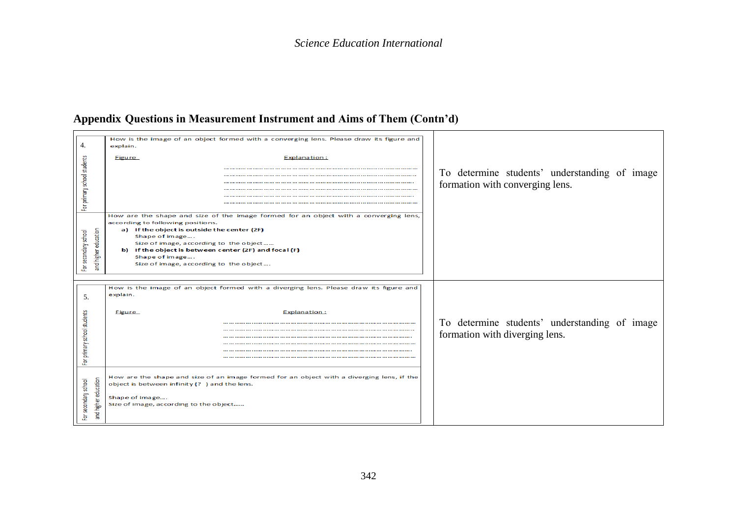# **Appendix Questions in Measurement Instrument and Aims of Them (Contn'd)**

|                                          | How is the image of an object formed with a converging lens. Please draw its figure and   |                                               |
|------------------------------------------|-------------------------------------------------------------------------------------------|-----------------------------------------------|
| 4.                                       | explain.                                                                                  |                                               |
| For primary school students              | <b>Explanation:</b><br><b>Figure</b>                                                      |                                               |
|                                          |                                                                                           |                                               |
|                                          |                                                                                           | To determine students' understanding of image |
|                                          |                                                                                           |                                               |
|                                          |                                                                                           | formation with converging lens.               |
|                                          |                                                                                           |                                               |
|                                          |                                                                                           |                                               |
|                                          |                                                                                           |                                               |
|                                          | How are the shape and size of the image formed for an object with a converging lens,      |                                               |
|                                          | according to following positions.                                                         |                                               |
|                                          | a) If the object is outside the center (2F)                                               |                                               |
|                                          | Shape of image                                                                            |                                               |
|                                          | Size of image, according to the object                                                    |                                               |
|                                          | b) If the object is between center (2F) and focal (F)                                     |                                               |
| and higher education<br>secondary school | Shape of image                                                                            |                                               |
|                                          | Size of image, according to the object                                                    |                                               |
| 효                                        |                                                                                           |                                               |
|                                          |                                                                                           |                                               |
|                                          |                                                                                           |                                               |
|                                          | How is the image of an object formed with a diverging lens. Please draw its figure and    |                                               |
| 5.                                       | explain.                                                                                  |                                               |
|                                          |                                                                                           |                                               |
|                                          |                                                                                           |                                               |
|                                          | Explanation:<br><b>Figure</b>                                                             |                                               |
| For primary school students              |                                                                                           | To determine students' understanding of image |
|                                          |                                                                                           |                                               |
|                                          |                                                                                           | formation with diverging lens.                |
|                                          |                                                                                           |                                               |
|                                          |                                                                                           |                                               |
|                                          |                                                                                           |                                               |
|                                          |                                                                                           |                                               |
|                                          |                                                                                           |                                               |
|                                          | How are the shape and size of an image formed for an object with a diverging lens, if the |                                               |
| and higher education<br>secondary school | object is between infinity (?) and the lens.                                              |                                               |
|                                          |                                                                                           |                                               |
|                                          | Shape of image                                                                            |                                               |
|                                          | Size of image, according to the object                                                    |                                               |
|                                          |                                                                                           |                                               |
| $\ddot{\mathbf{e}}$                      |                                                                                           |                                               |
|                                          |                                                                                           |                                               |